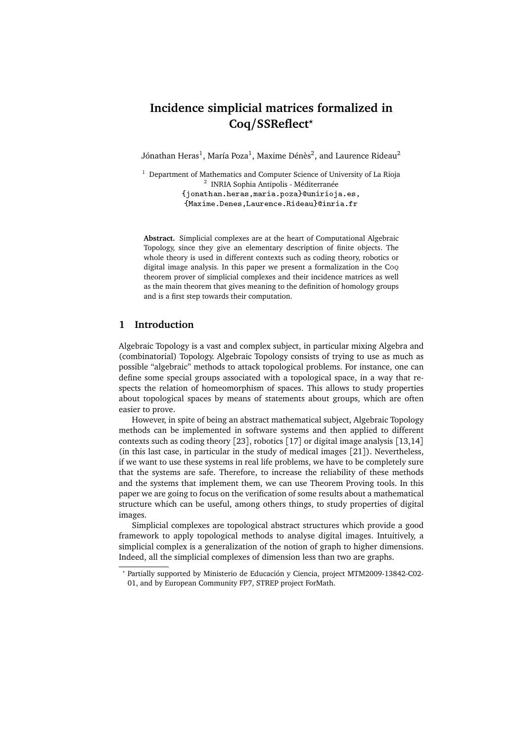# **Incidence simplicial matrices formalized in Coq/SSReflect***?*

Jónathan Heras $^{\rm l}$ , María Poza $^{\rm l}$ , Maxime Dénès $^{\rm 2}$ , and Laurence Rideau $^{\rm 2}$ 

 $1$  Department of Mathematics and Computer Science of University of La Rioja <sup>2</sup> INRIA Sophia Antipolis - Méditerranée {jonathan.heras,maria.poza}@unirioja.es,

{Maxime.Denes,Laurence.Rideau}@inria.fr

**Abstract.** Simplicial complexes are at the heart of Computational Algebraic Topology, since they give an elementary description of finite objects. The whole theory is used in different contexts such as coding theory, robotics or digital image analysis. In this paper we present a formalization in the Coo theorem prover of simplicial complexes and their incidence matrices as well as the main theorem that gives meaning to the definition of homology groups and is a first step towards their computation.

# **1 Introduction**

Algebraic Topology is a vast and complex subject, in particular mixing Algebra and (combinatorial) Topology. Algebraic Topology consists of trying to use as much as possible "algebraic" methods to attack topological problems. For instance, one can define some special groups associated with a topological space, in a way that respects the relation of homeomorphism of spaces. This allows to study properties about topological spaces by means of statements about groups, which are often easier to prove.

However, in spite of being an abstract mathematical subject, Algebraic Topology methods can be implemented in software systems and then applied to different contexts such as coding theory [[23](#page-14-0)], robotics [[17](#page-14-1)] or digital image analysis [[13,](#page-13-0)[14](#page-13-1)] (in this last case, in particular in the study of medical images [[21](#page-14-2)]). Nevertheless, if we want to use these systems in real life problems, we have to be completely sure that the systems are safe. Therefore, to increase the reliability of these methods and the systems that implement them, we can use Theorem Proving tools. In this paper we are going to focus on the verification of some results about a mathematical structure which can be useful, among others things, to study properties of digital images.

Simplicial complexes are topological abstract structures which provide a good framework to apply topological methods to analyse digital images. Intuitively, a simplicial complex is a generalization of the notion of graph to higher dimensions. Indeed, all the simplicial complexes of dimension less than two are graphs.

*<sup>?</sup>* Partially supported by Ministerio de Educación y Ciencia, project MTM2009-13842-C02- 01, and by European Community FP7, STREP project ForMath.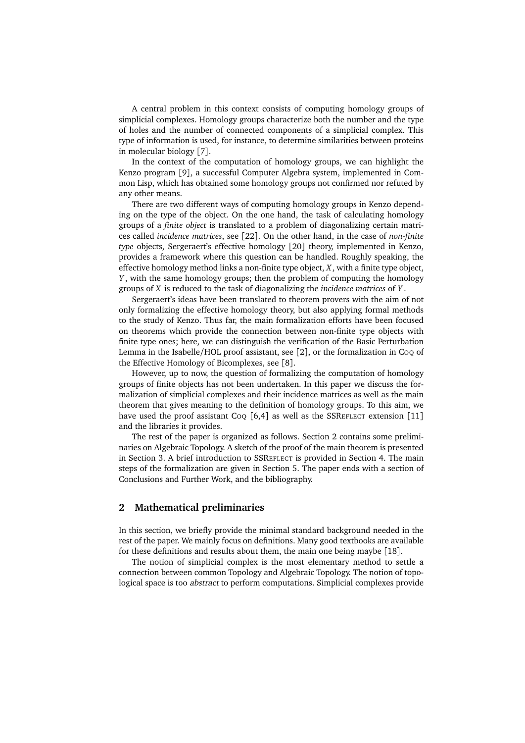A central problem in this context consists of computing homology groups of simplicial complexes. Homology groups characterize both the number and the type of holes and the number of connected components of a simplicial complex. This type of information is used, for instance, to determine similarities between proteins in molecular biology [[7](#page-13-2)].

In the context of the computation of homology groups, we can highlight the Kenzo program [[9](#page-13-3)], a successful Computer Algebra system, implemented in Common Lisp, which has obtained some homology groups not confirmed nor refuted by any other means.

There are two different ways of computing homology groups in Kenzo depending on the type of the object. On the one hand, the task of calculating homology groups of a *finite object* is translated to a problem of diagonalizing certain matrices called *incidence matrices*, see [[22](#page-14-3)]. On the other hand, in the case of *non-finite type* objects, Sergeraert's effective homology [[20](#page-14-4)] theory, implemented in Kenzo, provides a framework where this question can be handled. Roughly speaking, the effective homology method links a non-finite type object, *X*, with a finite type object, *Y* , with the same homology groups; then the problem of computing the homology groups of *X* is reduced to the task of diagonalizing the *incidence matrices* of *Y* .

Sergeraert's ideas have been translated to theorem provers with the aim of not only formalizing the effective homology theory, but also applying formal methods to the study of Kenzo. Thus far, the main formalization efforts have been focused on theorems which provide the connection between non-finite type objects with finite type ones; here, we can distinguish the verification of the Basic Perturbation Lemma in the Isabelle/HOL proof assistant, see [[2](#page-13-4)], or the formalization in CoQ of the Effective Homology of Bicomplexes, see [[8](#page-13-5)].

However, up to now, the question of formalizing the computation of homology groups of finite objects has not been undertaken. In this paper we discuss the formalization of simplicial complexes and their incidence matrices as well as the main theorem that gives meaning to the definition of homology groups. To this aim, we have used the proof assistant  $CoQ [6,4]$  $CoQ [6,4]$  $CoQ [6,4]$  $CoQ [6,4]$  as well as the SSREFLECT extension [[11](#page-13-8)] and the libraries it provides.

The rest of the paper is organized as follows. Section [2](#page-1-0) contains some preliminaries on Algebraic Topology. A sketch of the proof of the main theorem is presented in Section [3.](#page-5-0) A brief introduction to SSREFLECT is provided in Section [4.](#page-9-0) The main steps of the formalization are given in Section [5.](#page-9-1) The paper ends with a section of Conclusions and Further Work, and the bibliography.

#### <span id="page-1-0"></span>**2 Mathematical preliminaries**

In this section, we briefly provide the minimal standard background needed in the rest of the paper. We mainly focus on definitions. Many good textbooks are available for these definitions and results about them, the main one being maybe [[18](#page-14-5)].

The notion of simplicial complex is the most elementary method to settle a connection between common Topology and Algebraic Topology. The notion of topological space is too abstract to perform computations. Simplicial complexes provide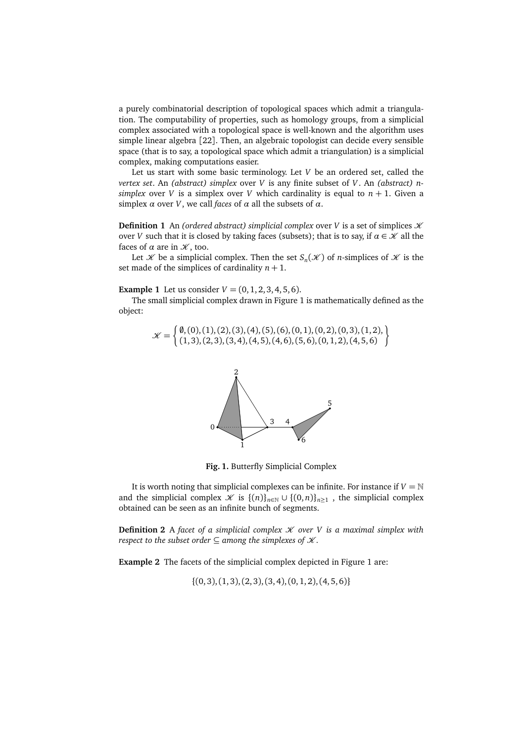a purely combinatorial description of topological spaces which admit a triangulation. The computability of properties, such as homology groups, from a simplicial complex associated with a topological space is well-known and the algorithm uses simple linear algebra [[22](#page-14-3)]. Then, an algebraic topologist can decide every sensible space (that is to say, a topological space which admit a triangulation) is a simplicial complex, making computations easier.

Let us start with some basic terminology. Let *V* be an ordered set, called the *vertex set*. An *(abstract) simplex* over *V* is any finite subset of *V*. An *(abstract) nsimplex* over *V* is a simplex over *V* which cardinality is equal to  $n + 1$ . Given a simplex *α* over *V*, we call *faces* of *α* all the subsets of *α*.

**Definition 1** An *(ordered abstract) simplicial complex over V* is a set of simplices  $K$ over *V* such that it is closed by taking faces (subsets); that is to say, if  $\alpha \in \mathcal{K}$  all the faces of  $\alpha$  are in  $\mathcal{K}$ , too.

Let *X* be a simplicial complex. Then the set  $S_n(\mathcal{K})$  of *n*-simplices of  $\mathcal K$  is the set made of the simplices of cardinality  $n + 1$ .

**Example 1** Let us consider  $V = (0, 1, 2, 3, 4, 5, 6)$ .

The small simplicial complex drawn in Figure [1](#page-2-0) is mathematically defined as the object:

$$
\mathcal{K} = \left\{ \begin{matrix} \emptyset, (0), (1), (2), (3), (4), (5), (6), (0, 1), (0, 2), (0, 3), (1, 2), \\ (1, 3), (2, 3), (3, 4), (4, 5), (4, 6), (5, 6), (0, 1, 2), (4, 5, 6) \end{matrix} \right\}
$$



<span id="page-2-0"></span>**Fig. 1.** Butterfly Simplicial Complex

It is worth noting that simplicial complexes can be infinite. For instance if  $V = N$ and the simplicial complex  $\mathcal{K}$  is  $\{(n)\}_{n\in\mathbb{N}} \cup \{(0,n)\}_{n\geq 1}$ , the simplicial complex obtained can be seen as an infinite bunch of segments.

**Definition 2** A *facet of a simplicial complex*  $\mathcal K$  *over V is a maximal simplex with respect to the subset order*  $\subseteq$  *among the simplexes of*  $\mathcal{K}$ *.* 

**Example 2** The facets of the simplicial complex depicted in Figure [1](#page-2-0) are:

 $\{(0, 3), (1, 3), (2, 3), (3, 4), (0, 1, 2), (4, 5, 6)\}$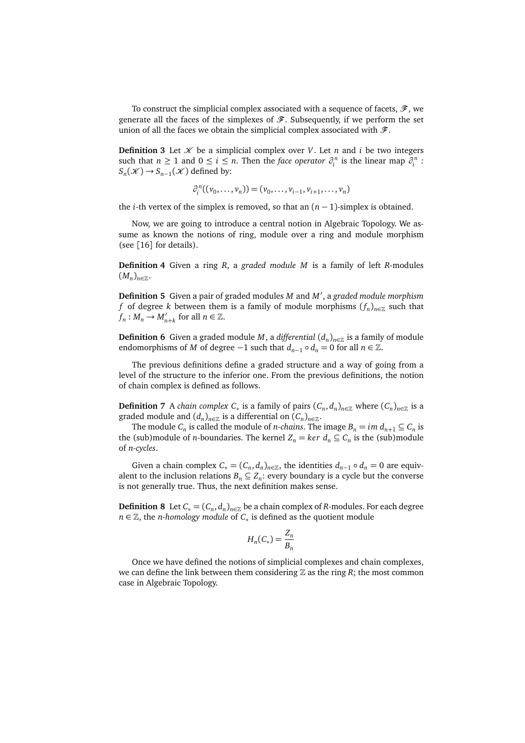To construct the simplicial complex associated with a sequence of facets,  $\mathcal{F}$ , we generate all the faces of the simplexes of  $\mathscr F$ . Subsequently, if we perform the set union of all the faces we obtain the simplicial complex associated with  $\mathcal{F}$ .

**Definition 3** Let  $\mathcal{K}$  be a simplicial complex over *V*. Let *n* and *i* be two integers such that  $n \ge 1$  and  $0 \le i \le n$ . Then the *face operator*  $\partial_i^n$  is the linear map  $\partial_i^n$ :  $S_n(\mathcal{K}) \to S_{n-1}(\mathcal{K})$  defined by:

$$
\partial_i^n((v_0,\ldots,v_n))=(v_0,\ldots,v_{i-1},v_{i+1},\ldots,v_n)
$$

the *i*-th vertex of the simplex is removed, so that an  $(n - 1)$ -simplex is obtained.

Now, we are going to introduce a central notion in Algebraic Topology. We assume as known the notions of ring, module over a ring and module morphism (see [[16](#page-14-6)] for details).

**Definition 4** Given a ring *R*, a *graded module M* is a family of left *R*-modules  $(M_n)_{n\in\mathbb{Z}}$ .

Definition 5 Given a pair of graded modules *M* and *M'*, a graded module morphism *f* of degree *k* between them is a family of module morphisms  $(f_n)_{n\in\mathbb{Z}}$  such that  $f_n: M_n \to M'_{n+k}$  for all  $n \in \mathbb{Z}$ .

**Definition 6** Given a graded module *M*, a *differential*  $(d_n)_{n \in \mathbb{Z}}$  is a family of module endomorphisms of *M* of degree −1 such that  $d_{n-1} \circ d_n = 0$  for all  $n \in \mathbb{Z}$ .

The previous definitions define a graded structure and a way of going from a level of the structure to the inferior one. From the previous definitions, the notion of chain complex is defined as follows.

**Definition** 7 A *chain complex*  $C_*$  is a family of pairs  $(C_n, d_n)_{n \in \mathbb{Z}}$  where  $(C_n)_{n \in \mathbb{Z}}$  is a graded module and  $(d_n)_{n\in\mathbb{Z}}$  is a differential on  $(C_n)_{n\in\mathbb{Z}}.$ 

The module  $C_n$  is called the module of *n*-chains. The image  $B_n = im d_{n+1} \subseteq C_n$  is the (sub)module of *n*-boundaries. The kernel  $Z_n = \text{ker } d_n \subseteq C_n$  is the (sub)module of *n-cycles*.

Given a chain complex  $C_* = (C_n, d_n)_{n \in \mathbb{Z}}$ , the identities  $d_{n-1} \circ d_n = 0$  are equivalent to the inclusion relations  $B_n \subseteq Z_n$ : every boundary is a cycle but the converse is not generally true. Thus, the next definition makes sense.

**Definition 8** Let  $C_* = (C_n, d_n)_{n \in \mathbb{Z}}$  be a chain complex of *R*-modules. For each degree *n* ∈  $\mathbb{Z}$ , the *n-homology module* of  $C_*$  is defined as the quotient module

$$
H_n(C_*)=\frac{Z_n}{B_n}
$$

Once we have defined the notions of simplicial complexes and chain complexes, we can define the link between them considering  $\mathbb Z$  as the ring  $R$ ; the most common case in Algebraic Topology.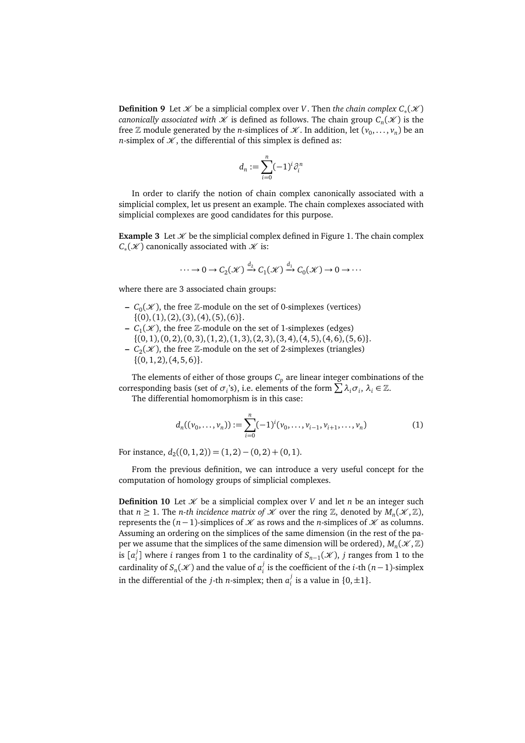**Definition 9** Let *X* be a simplicial complex over *V*. Then *the chain complex*  $C_*(X)$ *canonically associated with*  $\mathscr K$  *is defined as follows. The chain group*  $\mathcal C_n(\mathscr K)$  *is the* free  $\mathbb Z$  module generated by the *n*-simplices of  $\mathscr K$ . In addition, let  $(v_0, \ldots, v_n)$  be an *n*-simplex of  $K$ , the differential of this simplex is defined as:

$$
d_n := \sum_{i=0}^n (-1)^i \partial_i^n
$$

In order to clarify the notion of chain complex canonically associated with a simplicial complex, let us present an example. The chain complexes associated with simplicial complexes are good candidates for this purpose.

**Example 3** Let  $\mathcal{K}$  be the simplicial complex defined in Figure [1.](#page-2-0) The chain complex  $C_*(\mathcal{K})$  canonically associated with  $\mathcal K$  is:

$$
\cdots \to 0 \to C_2(\mathcal{K}) \xrightarrow{d_2} C_1(\mathcal{K}) \xrightarrow{d_1} C_0(\mathcal{K}) \to 0 \to \cdots
$$

where there are 3 associated chain groups:

- $C_0(\mathcal{K})$ , the free  $\mathbb{Z}$ -module on the set of 0-simplexes (vertices)  $\{(0), (1), (2), (3), (4), (5), (6)\}.$
- $C_1(\mathcal{K})$ , the free  $\mathbb{Z}$ -module on the set of 1-simplexes (edges)  $\{(0, 1), (0, 2), (0, 3), (1, 2), (1, 3), (2, 3), (3, 4), (4, 5), (4, 6), (5, 6)\}.$
- $C_2(\mathcal{K})$ , the free  $\mathbb{Z}$ -module on the set of 2-simplexes (triangles)  $\{(0, 1, 2), (4, 5, 6)\}.$

The elements of either of those groups  $C_p$  are linear integer combinations of the corresponding basis (set of  $\sigma_i$ 's), i.e. elements of the form  $\sum \lambda_i \sigma_i$ ,  $\lambda_i \in \mathbb{Z}$ .

The differential homomorphism is in this case:

<span id="page-4-0"></span>
$$
d_n((v_0, \ldots, v_n)) := \sum_{i=0}^n (-1)^i (v_0, \ldots, v_{i-1}, v_{i+1}, \ldots, v_n)
$$
 (1)

For instance,  $d_2((0,1,2)) = (1,2) - (0,2) + (0,1)$ .

From the previous definition, we can introduce a very useful concept for the computation of homology groups of simplicial complexes.

**Definition 10** Let  $\mathcal{K}$  be a simplicial complex over *V* and let *n* be an integer such that  $n \geq 1$ . The *n-th incidence matrix of X* over the ring Z, denoted by  $M_n(\mathcal{K}, \mathbb{Z})$ , represents the  $(n-1)$ -simplices of  $K$  as rows and the *n*-simplices of  $K$  as columns. Assuming an ordering on the simplices of the same dimension (in the rest of the paper we assume that the simplices of the same dimension will be ordered),  $M_n(\mathcal{K}, \mathbb{Z})$ is  $[a_i^j]$ *i*<sup> $j$ </sup>
<sub>*i*</sub></sub> ] where *i* ranges from 1 to the cardinality of *S*<sub>*n*−1</sub>( $X$ ), *j* ranges from 1 to the cardinality of  $S_n(\mathscr{K})$  and the value of  $a_i^j$  $i$ <sup>*i*</sup> is the coefficient of the *i*-th (*n*−1)-simplex in the differential of the *j*-th *n*-simplex; then  $a_j^j$  $i$ <sup>*i*</sup> is a value in  $\{0, \pm 1\}$ .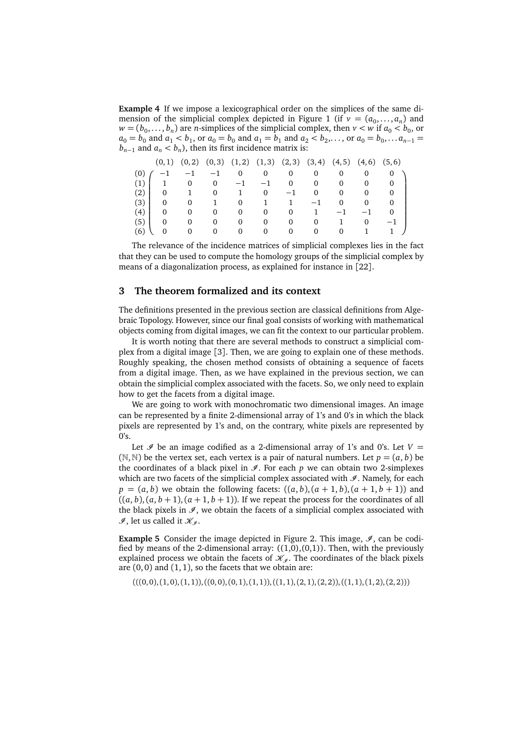**Example 4** If we impose a lexicographical order on the simplices of the same di-mension of the simplicial complex depicted in Figure [1](#page-2-0) (if  $v = (a_0, \ldots, a_n)$  and  $w = (b_0, \ldots, b_n)$  are *n*-simplices of the simplicial complex, then  $v < w$  if  $a_0 < b_0$ , or  $a_0 = b_0$  and  $a_1 < b_1$ , or  $a_0 = b_0$  and  $a_1 = b_1$  and  $a_2 < b_2, \ldots$ , or  $a_0 = b_0, \ldots a_{n-1} =$  $b_{n-1}$  and  $a_n < b_n$ ), then its first incidence matrix is:

|         |                             |                |         |                | $(0,1)$ $(0,2)$ $(0,3)$ $(1,2)$ $(1,3)$ $(2,3)$ $(3,4)$ $(4,5)$ $(4,6)$ $(5,6)$ |                       |                |                |                     |      |
|---------|-----------------------------|----------------|---------|----------------|---------------------------------------------------------------------------------|-----------------------|----------------|----------------|---------------------|------|
| (0)     |                             |                | $^{-1}$ |                | $0\qquad 0\qquad 0$                                                             |                       | $\overline{0}$ | $\overline{0}$ | 0                   |      |
|         | $(1)$   1 0 0 -1 -1 0 0 0 0 |                |         |                |                                                                                 |                       |                |                |                     |      |
|         | $(2)$   0 1                 |                |         |                | $0 \t 1 \t 0 \t -1$                                                             |                       |                |                | $0\qquad 0\qquad 0$ |      |
|         | $(3)$ 0                     | $\overline{0}$ |         |                | 1 0 1 1                                                                         |                       | $-1$           | $\overline{0}$ | $\overline{0}$      |      |
|         | $(4)$   0                   | 0              | 0       | $\overline{0}$ |                                                                                 | $0 \qquad 0 \qquad 1$ |                | $-1$           | $^{-1}$             |      |
|         | $(5)$   0                   | $\Omega$       |         | 0              | $\Omega$                                                                        | 0                     | $\mathbf{0}$   | $\overline{1}$ | 0                   | $-1$ |
| $(6)$ \ | $\bf{0}$                    | $\Omega$       |         | $0 \qquad 0$   |                                                                                 | $0\qquad 0$           | $\overline{0}$ | $\overline{0}$ | $\mathbf{1}$        |      |

The relevance of the incidence matrices of simplicial complexes lies in the fact that they can be used to compute the homology groups of the simplicial complex by means of a diagonalization process, as explained for instance in [[22](#page-14-3)].

#### <span id="page-5-0"></span>**3 The theorem formalized and its context**

The definitions presented in the previous section are classical definitions from Algebraic Topology. However, since our final goal consists of working with mathematical objects coming from digital images, we can fit the context to our particular problem.

It is worth noting that there are several methods to construct a simplicial complex from a digital image [[3](#page-13-9)]. Then, we are going to explain one of these methods. Roughly speaking, the chosen method consists of obtaining a sequence of facets from a digital image. Then, as we have explained in the previous section, we can obtain the simplicial complex associated with the facets. So, we only need to explain how to get the facets from a digital image.

We are going to work with monochromatic two dimensional images. An image can be represented by a finite 2-dimensional array of 1's and 0's in which the black pixels are represented by 1's and, on the contrary, white pixels are represented by  $0's$ .

Let  $\mathscr I$  be an image codified as a 2-dimensional array of 1's and 0's. Let  $V =$  $(N, N)$  be the vertex set, each vertex is a pair of natural numbers. Let  $p = (a, b)$  be the coordinates of a black pixel in  $\mathcal{I}$ . For each  $p$  we can obtain two 2-simplexes which are two facets of the simplicial complex associated with  $\mathcal{I}$ . Namely, for each  $p = (a, b)$  we obtain the following facets:  $((a, b), (a + 1, b), (a + 1, b + 1))$  and  $((a, b), (a, b + 1), (a + 1, b + 1))$ . If we repeat the process for the coordinates of all the black pixels in  $\mathcal{I}$ , we obtain the facets of a simplicial complex associated with  $\mathscr{I}$ , let us called it  $\mathscr{K}_{\mathscr{I}}$ .

**Example 5** Consider the image depicted in Figure [2.](#page-6-0) This image,  $\mathcal{I}$ , can be codified by means of the 2-dimensional array:  $((1,0),(0,1))$ . Then, with the previously explained process we obtain the facets of  $\mathcal{K}_{\varphi}$ . The coordinates of the black pixels are  $(0, 0)$  and  $(1, 1)$ , so the facets that we obtain are:

$$
(( (0,0), (1,0), (1,1)), ((0,0), (0,1), (1,1)), ((1,1), (2,1), (2,2)), ((1,1), (1,2), (2,2)))
$$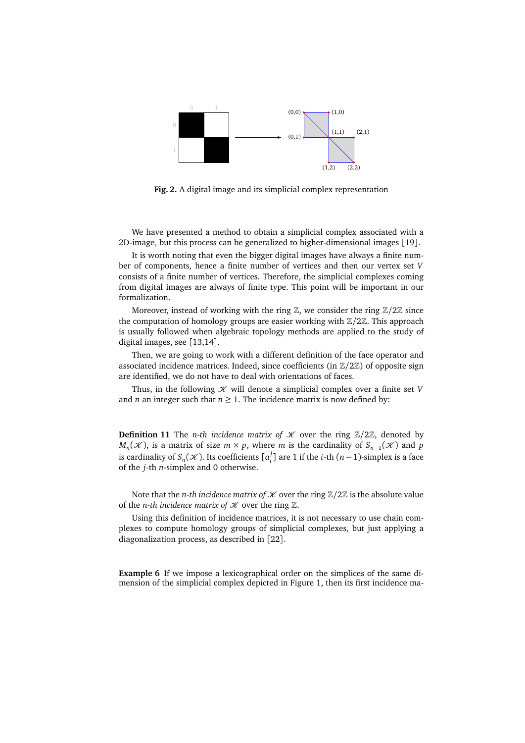

<span id="page-6-0"></span>**Fig. 2.** A digital image and its simplicial complex representation

We have presented a method to obtain a simplicial complex associated with a 2D-image, but this process can be generalized to higher-dimensional images [[19](#page-14-7)].

It is worth noting that even the bigger digital images have always a finite number of components, hence a finite number of vertices and then our vertex set *V* consists of a finite number of vertices. Therefore, the simplicial complexes coming from digital images are always of finite type. This point will be important in our formalization.

Moreover, instead of working with the ring  $\mathbb{Z}$ , we consider the ring  $\mathbb{Z}/2\mathbb{Z}$  since the computation of homology groups are easier working with Z*/*2Z. This approach is usually followed when algebraic topology methods are applied to the study of digital images, see [[13](#page-13-0)[,14](#page-13-1)].

Then, we are going to work with a different definition of the face operator and associated incidence matrices. Indeed, since coefficients (in Z*/*2Z) of opposite sign are identified, we do not have to deal with orientations of faces.

Thus, in the following  $K$  will denote a simplicial complex over a finite set  $V$ and *n* an integer such that  $n \geq 1$ . The incidence matrix is now defined by:

**Definition 11** The *n-th incidence matrix of*  $\mathcal{K}$  over the ring  $\mathbb{Z}/2\mathbb{Z}$ , denoted by  $M_n(\mathcal{K})$ , is a matrix of size  $m \times p$ , where *m* is the cardinality of  $S_{n-1}(\mathcal{K})$  and *p* is cardinality of  $S_n(\mathscr{K}).$  Its coefficients  $[a_i^j]$  $i<sup>j</sup><sub>i</sub>$ ] are 1 if the *i*-th (*n*−1)-simplex is a face of the *j*-th *n*-simplex and 0 otherwise.

Note that the *n*-th incidence matrix of  $K$  over the ring  $\mathbb{Z}/2\mathbb{Z}$  is the absolute value of the *n*-th incidence matrix of  $K$  over the ring  $\mathbb{Z}$ .

Using this definition of incidence matrices, it is not necessary to use chain complexes to compute homology groups of simplicial complexes, but just applying a diagonalization process, as described in [[22](#page-14-3)].

**Example 6** If we impose a lexicographical order on the simplices of the same dimension of the simplicial complex depicted in Figure [1,](#page-2-0) then its first incidence ma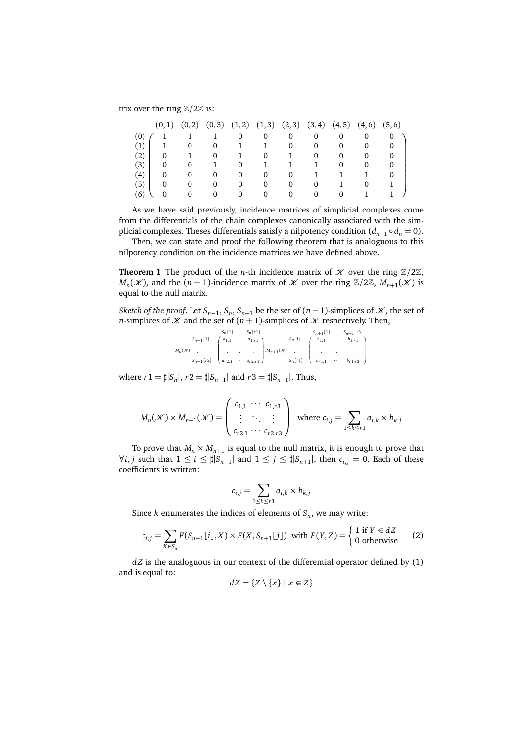trix over the ring Z*/*2Z is:

|     |          |   |          | $(0,1)$ $(0,2)$ $(0,3)$ $(1,2)$ $(1,3)$ $(2,3)$ $(3,4)$ $(4,5)$ $(4,6)$ $(5,6)$ |          |          |          |            |  |
|-----|----------|---|----------|---------------------------------------------------------------------------------|----------|----------|----------|------------|--|
|     |          |   |          | 0                                                                               | 0        | U        | 0        |            |  |
| (1) |          | 0 | $\theta$ |                                                                                 |          | 0        | $\Omega$ | $^{(1)}$   |  |
| (2) | 0        |   |          |                                                                                 |          |          | 0        | $\Omega$   |  |
| (3) | $\Omega$ |   |          | 0                                                                               |          |          |          |            |  |
| (4) | 0        |   | $\theta$ | $\Omega$                                                                        | $\theta$ | $\Omega$ |          |            |  |
| (5) |          |   |          |                                                                                 |          |          |          |            |  |
| 66  |          |   | $^{(1)}$ | 0                                                                               |          | $\theta$ | 0        | $^{\circ}$ |  |

As we have said previously, incidence matrices of simplicial complexes come from the differentials of the chain complexes canonically associated with the simplicial complexes. Theses differentials satisfy a nilpotency condition  $(d_{n-1} \circ d_n = 0)$ .

Then, we can state and proof the following theorem that is analoguous to this nilpotency condition on the incidence matrices we have defined above.

<span id="page-7-0"></span>**Theorem 1** The product of the *n*-th incidence matrix of  $K$  over the ring  $\mathbb{Z}/2\mathbb{Z}$ ,  $M_n(\mathcal{K})$ , and the  $(n + 1)$ -incidence matrix of  $\mathcal{K}$  over the ring  $\mathbb{Z}/2\mathbb{Z}$ ,  $M_{n+1}(\mathcal{K})$  is equal to the null matrix.

*Sketch of the proof.* Let  $S_{n-1}$ ,  $S_n$ ,  $S_{n+1}$  be the set of  $(n-1)$ -simplices of  $\mathcal K$ , the set of *n*-simplices of  $K$  and the set of  $(n + 1)$ -simplices of  $K$  respectively. Then,

| $S_n[1] \cdots S_n[r1]$ |  |                                                                                                                                                                                                                                                                                                                                                                   |  | $S_{n+1}[1]$ $\cdots$ $S_{n+1}[r3]$ |
|-------------------------|--|-------------------------------------------------------------------------------------------------------------------------------------------------------------------------------------------------------------------------------------------------------------------------------------------------------------------------------------------------------------------|--|-------------------------------------|
|                         |  |                                                                                                                                                                                                                                                                                                                                                                   |  |                                     |
|                         |  | $M_n(\mathcal{H}) = \left[ \begin{array}{cccc} a_{n-1}[1] & a_{1,1} & \cdots & a_{1,r1} \\ \vdots & \ddots & \vdots \\ s_{n-1}[r2] & a_{r2,1} & \cdots & a_{r2,r1} \end{array} \right], M_{n+1}(\mathcal{H}) = \left[ \begin{array}{cccc} b_{1,1} & \cdots & b_{1,r1} \\ \vdots & \ddots & \vdots \\ s_n[r1] & b_{r1,1} & \cdots & b_{r1,r3} \end{array} \right]$ |  |                                     |

where  $r1 = \sharp |S_n|$ ,  $r2 = \sharp |S_{n-1}|$  and  $r3 = \sharp |S_{n+1}|$ . Thus,

$$
M_n(\mathcal{K}) \times M_{n+1}(\mathcal{K}) = \begin{pmatrix} c_{1,1} & \cdots & c_{1,r3} \\ \vdots & \ddots & \vdots \\ c_{r2,1} & \cdots & c_{r2,r3} \end{pmatrix} \text{ where } c_{i,j} = \sum_{1 \leq k \leq r1} a_{i,k} \times b_{k,j}
$$

To prove that  $M_n \times M_{n+1}$  is equal to the null matrix, it is enough to prove that  $\forall i, j$  such that  $1 \leq i \leq \sharp |S_{n-1}|$  and  $1 \leq j \leq \sharp |S_{n+1}|$ , then  $c_{i,j} = 0$ . Each of these coefficients is written:

<span id="page-7-1"></span>
$$
c_{i,j} = \sum_{1 \le k \le r1} a_{i,k} \times b_{k,j}
$$

Since  $k$  enumerates the indices of elements of  $S_n$ , we may write:

$$
c_{i,j} = \sum_{X \in S_n} F(S_{n-1}[i], X) \times F(X, S_{n+1}[j]) \text{ with } F(Y, Z) = \begin{cases} 1 \text{ if } Y \in dZ \\ 0 \text{ otherwise} \end{cases}
$$
 (2)

*d Z* is the analoguous in our context of the differential operator defined by [\(1\)](#page-4-0) and is equal to:

$$
dZ = \{Z \setminus \{x\} \mid x \in Z\}
$$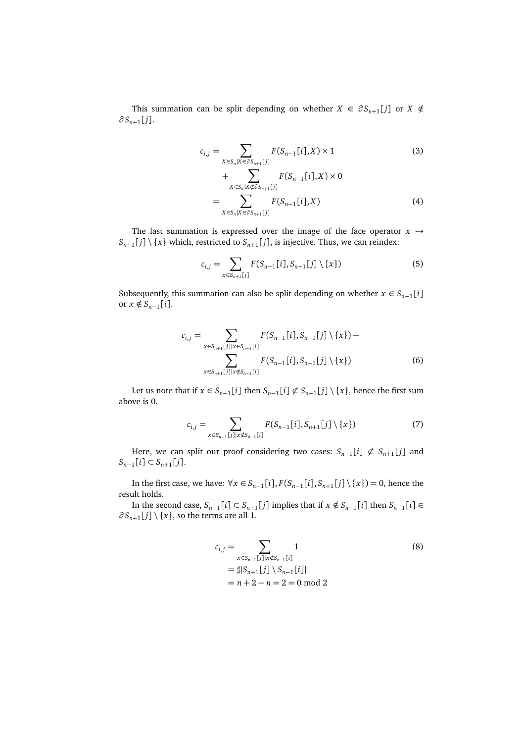This summation can be split depending on whether  $X \in \partial S_{n+1}[j]$  or  $X \notin$ *∂ S<sup>n</sup>*+<sup>1</sup> [ *j*].

<span id="page-8-0"></span>
$$
c_{i,j} = \sum_{X \in S_n | X \in \partial S_{n+1}[j]} F(S_{n-1}[i], X) \times 1
$$
\n
$$
+ \sum_{X \in S_n | X \notin \partial S_{n+1}[j]} F(S_{n-1}[i], X) \times 0
$$
\n
$$
= \sum_{X \in S_n | X \in \partial S_{n+1}[j]} F(S_{n-1}[i], X)
$$
\n(4)

The last summation is expressed over the image of the face operator  $x \mapsto$  $S_{n+1}[j] \setminus \{x\}$  which, restricted to  $S_{n+1}[j]$ , is injective. Thus, we can reindex:

<span id="page-8-3"></span>
$$
c_{i,j} = \sum_{x \in S_{n+1}[j]} F(S_{n-1}[i], S_{n+1}[j] \setminus \{x\})
$$
 (5)

Subsequently, this summation can also be split depending on whether  $x \in S_{n-1}[i]$  $or x \notin S_{n-1}[i].$ 

<span id="page-8-1"></span>
$$
c_{i,j} = \sum_{x \in S_{n+1}[j] \mid x \in S_{n-1}[i]} F(S_{n-1}[i], S_{n+1}[j] \setminus \{x\}) + \sum_{x \in S_{n+1}[j] \mid x \notin S_{n-1}[i]} F(S_{n-1}[i], S_{n+1}[j] \setminus \{x\})
$$
(6)

<span id="page-8-2"></span>Let us note that if  $x \in S_{n-1}[i]$  then  $S_{n-1}[i] \not\subset S_{n+1}[j] \setminus \{x\}$ , hence the first sum above is 0.

$$
c_{i,j} = \sum_{x \in S_{n+1}[j] \mid x \notin S_{n-1}[i]} F(S_{n-1}[i], S_{n+1}[j] \setminus \{x\})
$$
(7)

Here, we can split our proof considering two cases:  $S_{n-1}[i] \not\subset S_{n+1}[j]$  and  $S_{n-1}[i]$  ⊂  $S_{n+1}[j]$ .

In the first case, we have:  $\forall x \in S_{n-1}[i]$ ,  $F(S_{n-1}[i], S_{n+1}[j] \setminus \{x\}) = 0$ , hence the result holds.

In the second case,  $S_{n-1}[i] \subset S_{n+1}[j]$  implies that if  $x \notin S_{n-1}[i]$  then  $S_{n-1}[i] \in$  $\partial S_{n+1}[j] \setminus \{x\}$ , so the terms are all 1.

<span id="page-8-4"></span>
$$
c_{i,j} = \sum_{x \in S_{n+1}[j] \mid x \notin S_{n-1}[i]} 1
$$
\n
$$
= \sharp |S_{n+1}[j] \setminus S_{n-1}[i]|
$$
\n
$$
= n + 2 - n = 2 = 0 \mod 2
$$
\n(8)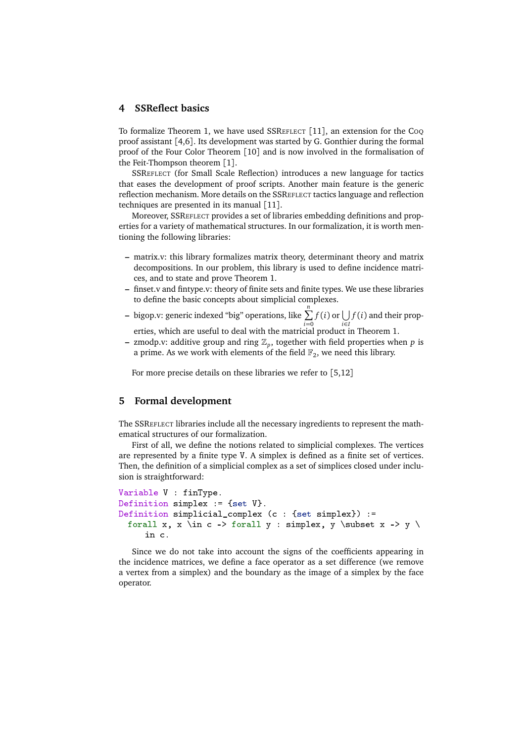#### <span id="page-9-0"></span>**4 SSReflect basics**

To formalize Theorem [1,](#page-7-0) we have used SSREFLECT [[11](#page-13-8)], an extension for the COQ proof assistant [[4](#page-13-7)[,6](#page-13-6)]. Its development was started by G. Gonthier during the formal proof of the Four Color Theorem [[10](#page-13-10)] and is now involved in the formalisation of the Feit-Thompson theorem [[1](#page-13-11)].

SSREFLECT (for Small Scale Reflection) introduces a new language for tactics that eases the development of proof scripts. Another main feature is the generic reflection mechanism. More details on the SSREFLECT tactics language and reflection techniques are presented in its manual [[11](#page-13-8)].

Moreover, SSREFLECT provides a set of libraries embedding definitions and properties for a variety of mathematical structures. In our formalization, it is worth mentioning the following libraries:

- **–** matrix.v: this library formalizes matrix theory, determinant theory and matrix decompositions. In our problem, this library is used to define incidence matrices, and to state and prove Theorem [1.](#page-7-0)
- **–** finset.v and fintype.v: theory of finite sets and finite types. We use these libraries to define the basic concepts about simplicial complexes.
- **–** bigop.v: generic indexed "big" operations, like <sup>P</sup>*<sup>n</sup>*  $\sum_{i=0} f(i)$  or  $\bigcup_{i \in I} f(i)$  and their properties, which are useful to deal with the matricial product in Theorem [1.](#page-7-0)
- **–** zmodp.v: additive group and ring Z*<sup>p</sup>* , together with field properties when *p* is a prime. As we work with elements of the field  $\mathbb{F}_2$ , we need this library.

For more precise details on these libraries we refer to [[5](#page-13-12)[,12](#page-13-13)]

# <span id="page-9-1"></span>**5 Formal development**

The SSREFLECT libraries include all the necessary ingredients to represent the mathematical structures of our formalization.

First of all, we define the notions related to simplicial complexes. The vertices are represented by a finite type V. A simplex is defined as a finite set of vertices. Then, the definition of a simplicial complex as a set of simplices closed under inclusion is straightforward:

```
Variable V : finType.
Definition simplex := {set V}.
Definition simplicial_complex (c : {set simplex}) :=
 forall x, x \in c -> forall y : simplex, y \subset x -> y \
     in c.
```
Since we do not take into account the signs of the coefficients appearing in the incidence matrices, we define a face operator as a set difference (we remove a vertex from a simplex) and the boundary as the image of a simplex by the face operator.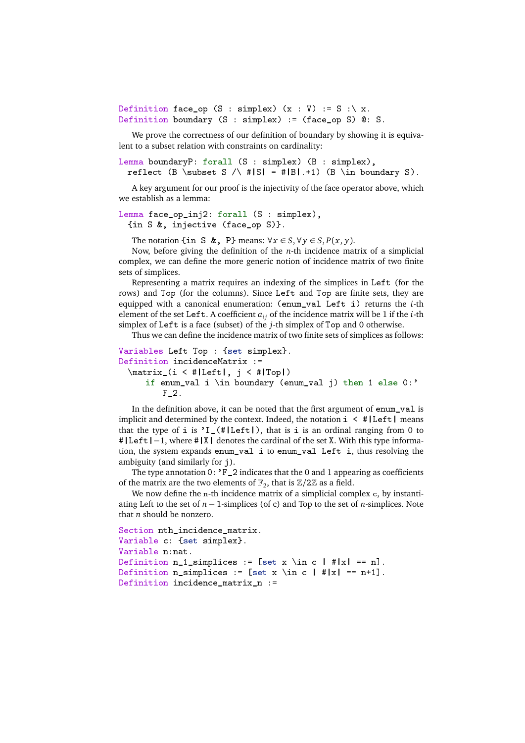Definition face\_op (S : simplex)  $(x : V) := S : \ X$ . Definition boundary (S : simplex) := (face\_op S) @: S.

We prove the correctness of our definition of boundary by showing it is equivalent to a subset relation with constraints on cardinality:

```
Lemma boundaryP: forall (S : simplex) (B : simplex),
 reflect (B \subset S /\ #|S| = #|B|.+1) (B \in boundary S).
```
A key argument for our proof is the injectivity of the face operator above, which we establish as a lemma:

Lemma face\_op\_inj2: forall (S : simplex), {in S &, injective (face\_op S)}.

The notation {in S &, P} means:  $\forall x \in S, \forall y \in S, P(x, y)$ .

Now, before giving the definition of the *n*-th incidence matrix of a simplicial complex, we can define the more generic notion of incidence matrix of two finite sets of simplices.

Representing a matrix requires an indexing of the simplices in Left (for the rows) and Top (for the columns). Since Left and Top are finite sets, they are equipped with a canonical enumeration: (enum\_val Left i) returns the *i*-th element of the set Left. A coefficient *ai j* of the incidence matrix will be 1 if the *i*-th simplex of Left is a face (subset) of the *j*-th simplex of Top and 0 otherwise.

Thus we can define the incidence matrix of two finite sets of simplices as follows:

```
Variables Left Top : {set simplex}.
Definition incidenceMatrix :=
 \matrix_(i < #|Left|, j < #|Top|)
     if enum_val i \in boundary (enum_val j) then 1 else 0:'
         F_2.
```
In the definition above, it can be noted that the first argument of enum\_val is implicit and determined by the context. Indeed, the notation  $i \leq #|Left|$  means that the type of i is  $'I_{-}(\#|\text{Left}|)$ , that is i is an ordinal ranging from 0 to #|Left|−1, where #|X| denotes the cardinal of the set X. With this type information, the system expands enum\_val i to enum\_val Left i, thus resolving the ambiguity (and similarly for j).

The type annotation  $0:$  'F<sub>-2</sub> indicates that the 0 and 1 appearing as coefficients of the matrix are the two elements of  $\mathbb{F}_2$ , that is  $\mathbb{Z}/2\mathbb{Z}$  as a field.

We now define the n-th incidence matrix of a simplicial complex c, by instantiating Left to the set of *n* − 1-simplices (of c) and Top to the set of *n*-simplices. Note that *n* should be nonzero.

```
Section nth_incidence_matrix.
Variable c: {set simplex}.
Variable n:nat.
Definition n_1 simplices := [set x \in c | #|x| == n].
Definition n_simplices := [set x \in c | #|x| == n+1].
Definition incidence_matrix_n :=
```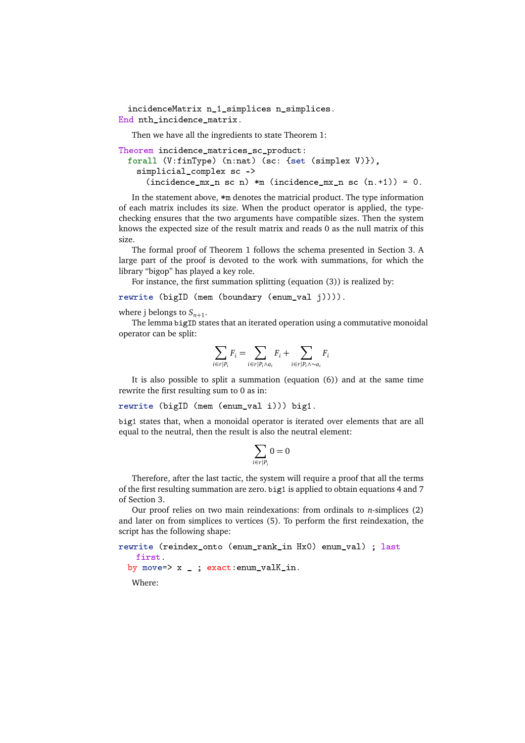```
incidenceMatrix n_1_simplices n_simplices.
End nth_incidence_matrix.
```
Then we have all the ingredients to state Theorem [1:](#page-7-0)

```
Theorem incidence_matrices_sc_product:
 forall (V:finType) (n:nat) (sc: {set (simplex V)}),
   simplicial_complex sc ->
     (incidence_mx_n sc n) *m (incidence_mx_n sc (n.+1)) = 0.
```
In the statement above, \*m denotes the matricial product. The type information of each matrix includes its size. When the product operator is applied, the typechecking ensures that the two arguments have compatible sizes. Then the system knows the expected size of the result matrix and reads 0 as the null matrix of this size.

The formal proof of Theorem [1](#page-7-0) follows the schema presented in Section [3.](#page-5-0) A large part of the proof is devoted to the work with summations, for which the library "bigop" has played a key role.

For instance, the first summation splitting (equation [\(3\)](#page-8-0)) is realized by:

```
rewrite (bigID (mem (boundary (enum_val j)))).
```
where j belongs to  $S_{n+1}$ .

The lemma bigID states that an iterated operation using a commutative monoidal operator can be split:

$$
\sum_{i \in r | P_i} F_i = \sum_{i \in r | P_i \wedge a_i} F_i + \sum_{i \in r | P_i \wedge \sim a_i} F_i
$$

It is also possible to split a summation (equation [\(6\)](#page-8-1)) and at the same time rewrite the first resulting sum to 0 as in:

rewrite (bigID (mem (enum\_val i))) big1.

big1 states that, when a monoidal operator is iterated over elements that are all equal to the neutral, then the result is also the neutral element:

$$
\sum_{i\in r|P_i} 0=0
$$

Therefore, after the last tactic, the system will require a proof that all the terms of the first resulting summation are zero. big1 is applied to obtain equations [4](#page-8-0) and [7](#page-8-2) of Section [3.](#page-5-0)

Our proof relies on two main reindexations: from ordinals to *n*-simplices [\(2\)](#page-7-1) and later on from simplices to vertices [\(5\)](#page-8-3). To perform the first reindexation, the script has the following shape:

```
rewrite (reindex_onto (enum_rank_in Hx0) enum_val) ; last
   first.
 by move=> x _; exact: enum_valK_in.
```
Where: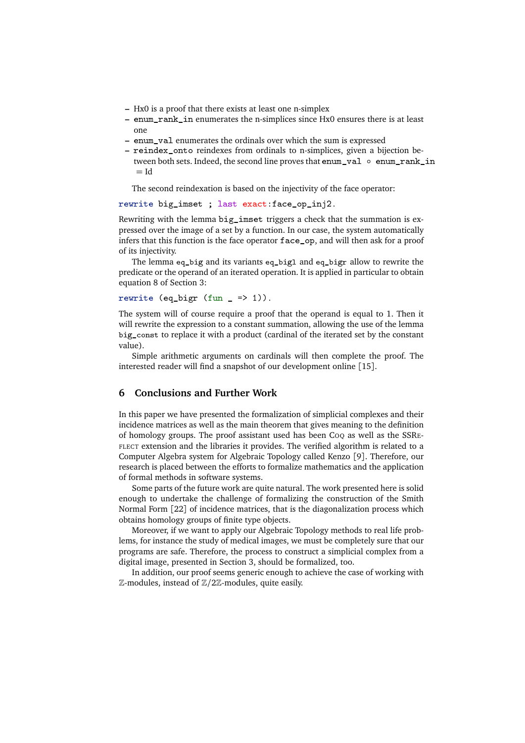- **–** Hx0 is a proof that there exists at least one n-simplex
- **–** enum\_rank\_in enumerates the n-simplices since Hx0 ensures there is at least one
- **–** enum\_val enumerates the ordinals over which the sum is expressed
- **–** reindex\_onto reindexes from ordinals to n-simplices, given a bijection between both sets. Indeed, the second line proves that enum\_val ◦ enum\_rank\_in  $=$  Id

The second reindexation is based on the injectivity of the face operator:

rewrite big\_imset ; last exact:face\_op\_inj2.

Rewriting with the lemma big\_imset triggers a check that the summation is expressed over the image of a set by a function. In our case, the system automatically infers that this function is the face operator face\_op, and will then ask for a proof of its injectivity.

The lemma eq\_big and its variants eq\_bigl and eq\_bigr allow to rewrite the predicate or the operand of an iterated operation. It is applied in particular to obtain equation [8](#page-8-4) of Section [3:](#page-5-0)

```
rewrite (eq_bigr (fun _ => 1)).
```
The system will of course require a proof that the operand is equal to 1. Then it will rewrite the expression to a constant summation, allowing the use of the lemma big\_const to replace it with a product (cardinal of the iterated set by the constant value).

Simple arithmetic arguments on cardinals will then complete the proof. The interested reader will find a snapshot of our development online [[15](#page-14-8)].

## **6 Conclusions and Further Work**

In this paper we have presented the formalization of simplicial complexes and their incidence matrices as well as the main theorem that gives meaning to the definition of homology groups. The proof assistant used has been COQ as well as the SSRE-FLECT extension and the libraries it provides. The verified algorithm is related to a Computer Algebra system for Algebraic Topology called Kenzo [[9](#page-13-3)]. Therefore, our research is placed between the efforts to formalize mathematics and the application of formal methods in software systems.

Some parts of the future work are quite natural. The work presented here is solid enough to undertake the challenge of formalizing the construction of the Smith Normal Form [[22](#page-14-3)] of incidence matrices, that is the diagonalization process which obtains homology groups of finite type objects.

Moreover, if we want to apply our Algebraic Topology methods to real life problems, for instance the study of medical images, we must be completely sure that our programs are safe. Therefore, the process to construct a simplicial complex from a digital image, presented in Section [3,](#page-5-0) should be formalized, too.

In addition, our proof seems generic enough to achieve the case of working with Z-modules, instead of Z*/*2Z-modules, quite easily.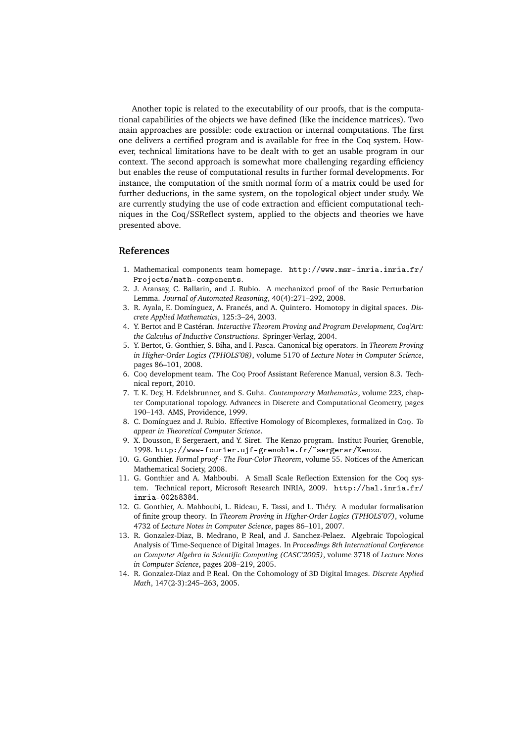Another topic is related to the executability of our proofs, that is the computational capabilities of the objects we have defined (like the incidence matrices). Two main approaches are possible: code extraction or internal computations. The first one delivers a certified program and is available for free in the Coq system. However, technical limitations have to be dealt with to get an usable program in our context. The second approach is somewhat more challenging regarding efficiency but enables the reuse of computational results in further formal developments. For instance, the computation of the smith normal form of a matrix could be used for further deductions, in the same system, on the topological object under study. We are currently studying the use of code extraction and efficient computational techniques in the Coq/SSReflect system, applied to the objects and theories we have presented above.

# **References**

- <span id="page-13-11"></span>1. Mathematical components team homepage. [http://www.msr-inria.inria.fr/](http://www.msr-inria.inria.fr/Projects/math-components) [Projects/math-components](http://www.msr-inria.inria.fr/Projects/math-components).
- <span id="page-13-4"></span>2. J. Aransay, C. Ballarin, and J. Rubio. A mechanized proof of the Basic Perturbation Lemma. *Journal of Automated Reasoning*, 40(4):271–292, 2008.
- <span id="page-13-9"></span>3. R. Ayala, E. Domínguez, A. Francés, and A. Quintero. Homotopy in digital spaces. *Discrete Applied Mathematics*, 125:3–24, 2003.
- <span id="page-13-7"></span>4. Y. Bertot and P. Castéran. *Interactive Theorem Proving and Program Development, Coq'Art: the Calculus of Inductive Constructions*. Springer-Verlag, 2004.
- <span id="page-13-12"></span>5. Y. Bertot, G. Gonthier, S. Biha, and I. Pasca. Canonical big operators. In *Theorem Proving in Higher-Order Logics (TPHOLS'08)*, volume 5170 of *Lecture Notes in Computer Science*, pages 86–101, 2008.
- <span id="page-13-6"></span>6. COQ development team. The COQ Proof Assistant Reference Manual, version 8.3. Technical report, 2010.
- <span id="page-13-2"></span>7. T. K. Dey, H. Edelsbrunner, and S. Guha. *Contemporary Mathematics*, volume 223, chapter Computational topology. Advances in Discrete and Computational Geometry, pages 190–143. AMS, Providence, 1999.
- <span id="page-13-5"></span>8. C. Domínguez and J. Rubio. Effective Homology of Bicomplexes, formalized in COQ. *To appear in Theoretical Computer Science*.
- <span id="page-13-3"></span>9. X. Dousson, F. Sergeraert, and Y. Siret. The Kenzo program. Institut Fourier, Grenoble, 1998. <http://www-fourier.ujf-grenoble.fr/~sergerar/Kenzo>.
- <span id="page-13-10"></span>10. G. Gonthier. *Formal proof - The Four-Color Theorem*, volume 55. Notices of the American Mathematical Society, 2008.
- <span id="page-13-8"></span>11. G. Gonthier and A. Mahboubi. A Small Scale Reflection Extension for the Coq system. Technical report, Microsoft Research INRIA, 2009. [http://hal.inria.fr/](http://hal.inria.fr/inria-00258384) [inria-00258384](http://hal.inria.fr/inria-00258384).
- <span id="page-13-13"></span>12. G. Gonthier, A. Mahboubi, L. Rideau, E. Tassi, and L. Théry. A modular formalisation of finite group theory. In *Theorem Proving in Higher-Order Logics (TPHOLS'07)*, volume 4732 of *Lecture Notes in Computer Science*, pages 86–101, 2007.
- <span id="page-13-0"></span>13. R. Gonzalez-Diaz, B. Medrano, P. Real, and J. Sanchez-Pelaez. Algebraic Topological Analysis of Time-Sequence of Digital Images. In *Proceedings 8th International Conference on Computer Algebra in Scientific Computing (CASC'2005)*, volume 3718 of *Lecture Notes in Computer Science*, pages 208–219, 2005.
- <span id="page-13-1"></span>14. R. Gonzalez-Diaz and P. Real. On the Cohomology of 3D Digital Images. *Discrete Applied Math*, 147(2-3):245–263, 2005.